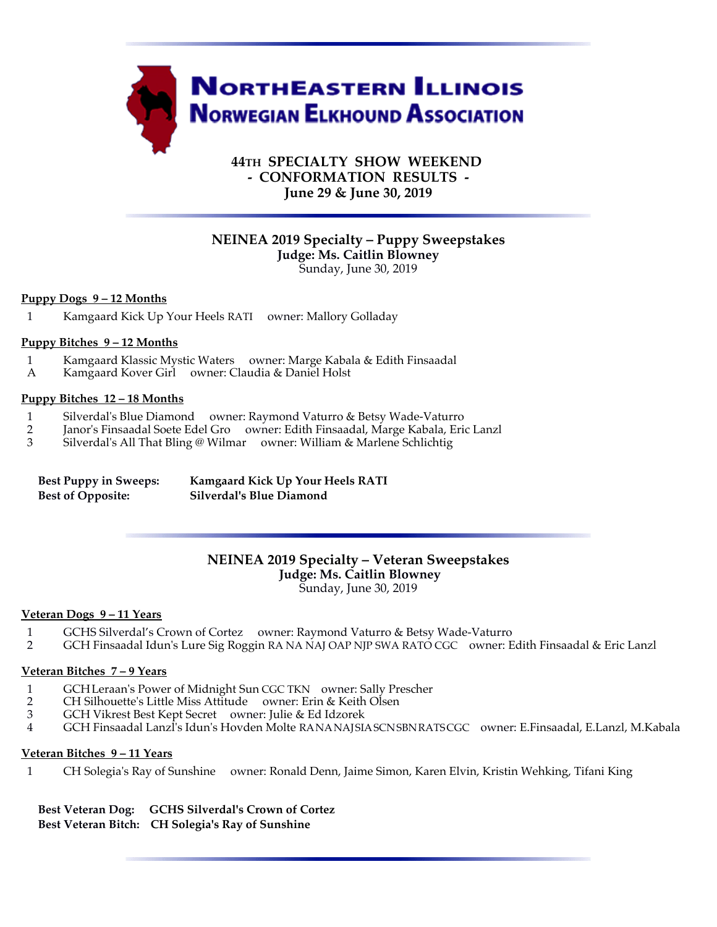

# **44TH SPECIALTY SHOW WEEKEND - CONFORMATION RESULTS - June 29 & June 30, 2019**

# **NEINEA 2019 Specialty – Puppy Sweepstakes Judge: Ms. Caitlin Blowney**

Sunday, June 30, 2019

### **Puppy Dogs 9 – 12 Months**

1 Kamgaard Kick Up Your Heels RATI owner: Mallory Golladay

# **Puppy Bitches 9 – 12 Months**

- 1 Kamgaard Klassic Mystic Waters owner: Marge Kabala & Edith Finsaadal
- Kamgaard Kover Girl owner: Claudia & Daniel Holst

#### **Puppy Bitches 12 – 18 Months**

- 1 Silverdal's Blue Diamond owner: Raymond Vaturro & Betsy Wade-Vaturro
- 2 Janor's Finsaadal Soete Edel Gro owner: Edith Finsaadal, Marge Kabala, Eric Lanzl<br>3 Silverdal's All That Bling @ Wilmar owner: William & Marlene Schlichtig
- 3 Silverdal's All That Bling @ Wilmar owner: William & Marlene Schlichtig

| <b>Best Puppy in Sweeps:</b> | <b>Kamgaard Kick Up Your Heels RATI</b> |
|------------------------------|-----------------------------------------|
| <b>Best of Opposite:</b>     | Silverdal's Blue Diamond                |

### **NEINEA 2019 Specialty – Veteran Sweepstakes Judge: Ms. Caitlin Blowney** Sunday, June 30, 2019

#### **Veteran Dogs 9 – 11 Years**

- 1 GCHS Silverdal's Crown of Cortez owner: Raymond Vaturro & Betsy Wade-Vaturro
- 2 GCH Finsaadal Idun's Lure Sig Roggin RA NA NAJ OAP NJP SWA RATO CGC owner: Edith Finsaadal & Eric Lanzl

#### **Veteran Bitches 7 – 9 Years**

- 1 GCH Leraan's Power of Midnight Sun CGC TKN owner: Sally Prescher
- 2 CH Silhouette's Little Miss Attitude owner: Erin & Keith Olsen<br>3 GCH Vikrest Best Kept Secret owner: Julie & Ed Idzorek
- 3 GCH Vikrest Best Kept Secret owner: Julie & Ed Idzorek
- 4 GCH Finsaadal Lanzl's Idun's Hovden Molte RA NA NAJ SIA SCN SBN RATS CGC owner: E.Finsaadal, E.Lanzl, M.Kabala

#### **Veteran Bitches 9 – 11 Years**

1 CH Solegia's Ray of Sunshine owner: Ronald Denn, Jaime Simon, Karen Elvin, Kristin Wehking, Tifani King

### **Best Veteran Dog: GCHS Silverdal's Crown of Cortez Best Veteran Bitch: CH Solegia's Ray of Sunshine**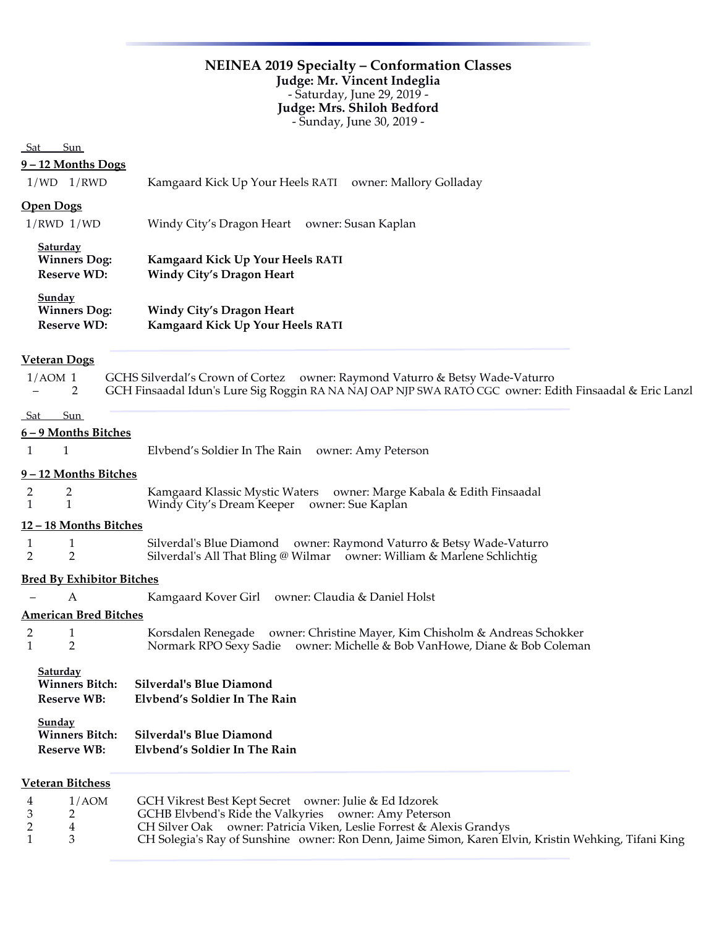# **NEINEA 2019 Specialty – Conformation Classes Judge: Mr. Vincent Indeglia** - Saturday, June 29, 2019 - **Judge: Mrs. Shiloh Bedford** - Sunday, June 30, 2019 -

# Sat Sun

### **9 – 12 Months Dogs**

|  | $1/WD$ $1/RWD$ | Kamgaard Kick Up Your Heels RATI | owner: Mallory Golladay |
|--|----------------|----------------------------------|-------------------------|
|--|----------------|----------------------------------|-------------------------|

# **Open Dogs**

| $1/RWD$ $1/WD$                                               | Windy City's Dragon Heart owner: Susan Kaplan                               |  |
|--------------------------------------------------------------|-----------------------------------------------------------------------------|--|
| <b>Saturday</b><br><b>Winners Dog:</b><br><b>Reserve WD:</b> | <b>Kamgaard Kick Up Your Heels RATI</b><br><b>Windy City's Dragon Heart</b> |  |
| <b>Sunday</b><br><b>Winners Dog:</b><br><b>Reserve WD:</b>   | <b>Windy City's Dragon Heart</b><br>Kamgaard Kick Up Your Heels RATI        |  |

| <b>Veteran Dogs</b>                                     |                                                                                                                                                                                         |
|---------------------------------------------------------|-----------------------------------------------------------------------------------------------------------------------------------------------------------------------------------------|
| $1/AOM$ 1<br>2                                          | GCHS Silverdal's Crown of Cortez owner: Raymond Vaturro & Betsy Wade-Vaturro<br>GCH Finsaadal Idun's Lure Sig Roggin RA NA NAJ OAP NJP SWA RATO CGC owner: Edith Finsaadal & Eric Lanzl |
| Sun<br><b>Sat</b>                                       |                                                                                                                                                                                         |
| $6 - 9$ Months Bitches                                  |                                                                                                                                                                                         |
| 1<br>1                                                  | Elvbend's Soldier In The Rain owner: Amy Peterson                                                                                                                                       |
| 9-12 Months Bitches                                     |                                                                                                                                                                                         |
| $\overline{2}$<br>2<br>$\mathbf{1}$<br>$\mathbf{1}$     | Kamgaard Klassic Mystic Waters owner: Marge Kabala & Edith Finsaadal<br>Windy City's Dream Keeper owner: Sue Kaplan                                                                     |
| 12-18 Months Bitches                                    |                                                                                                                                                                                         |
| 1<br>1<br>$\overline{2}$<br>$\overline{2}$              | Silverdal's Blue Diamond owner: Raymond Vaturro & Betsy Wade-Vaturro<br>Silverdal's All That Bling @ Wilmar owner: William & Marlene Schlichtig                                         |
| <b>Bred By Exhibitor Bitches</b>                        |                                                                                                                                                                                         |
| A                                                       | Kamgaard Kover Girl owner: Claudia & Daniel Holst                                                                                                                                       |
| <b>American Bred Bitches</b>                            |                                                                                                                                                                                         |
| $\mathbf{1}$<br>2<br>$\mathbf{1}$<br>2                  | Korsdalen Renegade owner: Christine Mayer, Kim Chisholm & Andreas Schokker<br>Normark RPO Sexy Sadie owner: Michelle & Bob VanHowe, Diane & Bob Coleman                                 |
| Saturday<br><b>Winners Bitch:</b><br><b>Reserve WB:</b> | <b>Silverdal's Blue Diamond</b><br>Elvbend's Soldier In The Rain                                                                                                                        |
| Sunday<br><b>Winners Bitch:</b><br><b>Reserve WB:</b>   | <b>Silverdal's Blue Diamond</b><br>Elvbend's Soldier In The Rain                                                                                                                        |
| <b>Veteran Bitchess</b>                                 |                                                                                                                                                                                         |

| 4   | 1/AOM                         | GCH Vikrest Best Kept Secret owner: Julie & Ed Idzorek                                               |
|-----|-------------------------------|------------------------------------------------------------------------------------------------------|
|     | $\overline{3}$ $\overline{2}$ | GCHB Elvbend's Ride the Valkyries owner: Amy Peterson                                                |
| 2 4 |                               | CH Silver Oak owner: Patricia Viken, Leslie Forrest & Alexis Grandys                                 |
|     |                               | CH Solegia's Ray of Sunshine owner: Ron Denn, Jaime Simon, Karen Elvin, Kristin Wehking, Tifani King |